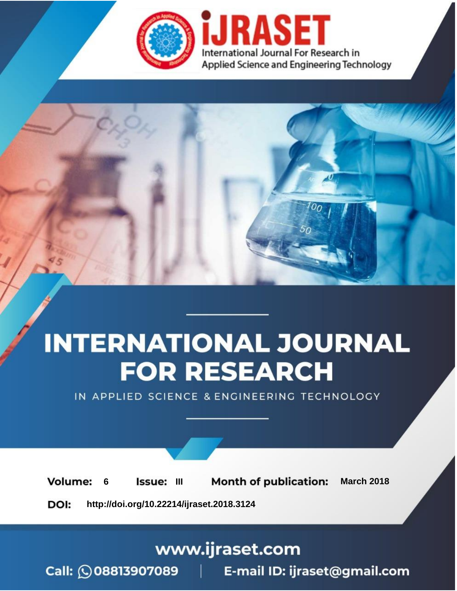

# **INTERNATIONAL JOURNAL FOR RESEARCH**

IN APPLIED SCIENCE & ENGINEERING TECHNOLOGY

**6 ISSUE: III Month of publication:** March 2018 **Volume:** 

**http://doi.org/10.22214/ijraset.2018.3124**DOI:

### www.ijraset.com

Call: 008813907089 | E-mail ID: ijraset@gmail.com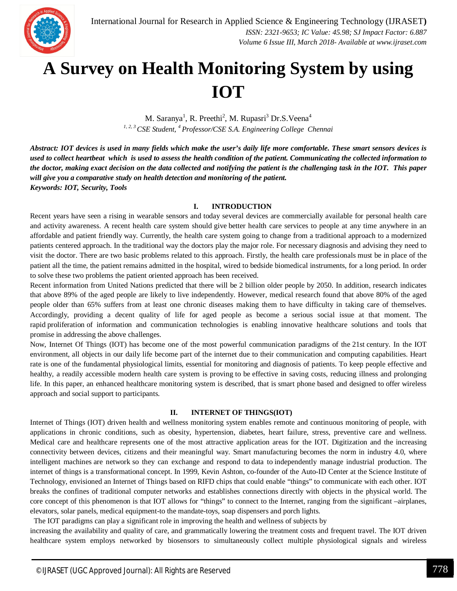

### **A Survey on Health Monitoring System by using IOT**

M. Saranya<sup>1</sup>, R. Preethi<sup>2</sup>, M. Rupasri<sup>3</sup> Dr.S. Veena<sup>4</sup> *1, 2, 3 CSE Student, <sup>4</sup> Professor/CSE S.A. Engineering College Chennai*

*Abstract: IOT devices is used in many fields which make the user's daily life more comfortable. These smart sensors devices is used to collect heartbeat which is used to assess the health condition of the patient. Communicating the collected information to the doctor, making exact decision on the data collected and notifying the patient is the challenging task in the IOT. This paper will give you a comparative study on health detection and monitoring of the patient. Keywords: IOT, Security, Tools*

#### **I. INTRODUCTION**

Recent years have seen a rising in wearable sensors and today several devices are commercially available for personal health care and activity awareness. A recent health care system should give better health care services to people at any time anywhere in an affordable and patient friendly way. Currently, the health care system going to change from a traditional approach to a modernized patients centered approach. In the traditional way the doctors play the major role. For necessary diagnosis and advising they need to visit the doctor. There are two basic problems related to this approach. Firstly, the health care professionals must be in place of the patient all the time, the patient remains admitted in the hospital, wired to bedside biomedical instruments, for a long period. In order to solve these two problems the patient oriented approach has been received.

Recent information from United Nations predicted that there will be 2 billion older people by 2050. In addition, research indicates that above 89% of the aged people are likely to live independently. However, medical research found that above 80% of the aged people older than 65% suffers from at least one chronic diseases making them to have difficulty in taking care of themselves. Accordingly, providing a decent quality of life for aged people as become a serious social issue at that moment. The rapid proliferation of information and communication technologies is enabling innovative healthcare solutions and tools that promise in addressing the above challenges.

Now, Internet Of Things (IOT) has become one of the most powerful communication paradigms of the 21st century. In the IOT environment, all objects in our daily life become part of the internet due to their communication and computing capabilities. Heart rate is one of the fundamental physiological limits, essential for monitoring and diagnosis of patients. To keep people effective and healthy, a readily accessible modern health care system is proving to be effective in saving costs, reducing illness and prolonging life. In this paper, an enhanced healthcare monitoring system is described, that is smart phone based and designed to offer wireless approach and social support to participants.

#### **II. INTERNET OF THINGS(IOT)**

Internet of Things (IOT) driven health and wellness monitoring system enables remote and continuous monitoring of people, with applications in chronic conditions, such as obesity, hypertension, diabetes, heart failure, stress, preventive care and wellness. Medical care and healthcare represents one of the most attractive application areas for the IOT. Digitization and the increasing connectivity between devices, citizens and their meaningful way. Smart manufacturing becomes the norm in industry 4.0, where intelligent machines are network so they can exchange and respond to data to independently manage industrial production. The internet of things is a transformational concept. In 1999, Kevin Ashton, co-founder of the Auto-ID Center at the Science Institute of Technology, envisioned an Internet of Things based on RIFD chips that could enable "things" to communicate with each other. IOT breaks the confines of traditional computer networks and establishes connections directly with objects in the physical world. The core concept of this phenomenon is that IOT allows for "things" to connect to the Internet, ranging from the significant –airplanes, elevators, solar panels, medical equipment-to the mandate-toys, soap dispensers and porch lights.

The IOT paradigms can play a significant role in improving the health and wellness of subjects by increasing the availability and quality of care, and grammatically lowering the treatment costs and frequent travel. The IOT driven healthcare system employs networked by biosensors to simultaneously collect multiple physiological signals and wireless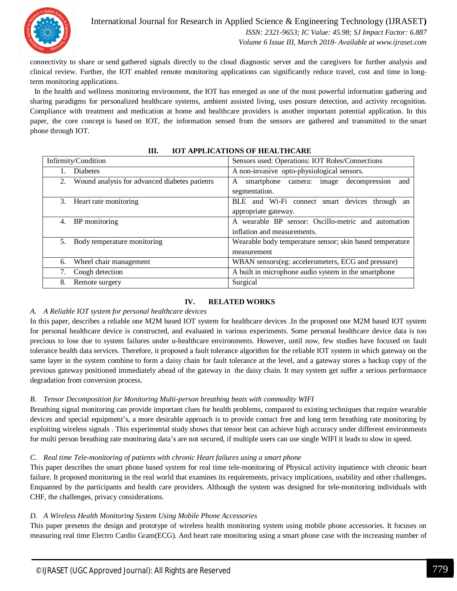

International Journal for Research in Applied Science & Engineering Technology (IJRASET**)**  *ISSN: 2321-9653; IC Value: 45.98; SJ Impact Factor: 6.887 Volume 6 Issue III, March 2018- Available at www.ijraset.com*

connectivity to share or send gathered signals directly to the cloud diagnostic server and the caregivers for further analysis and clinical review. Further, the IOT enabled remote monitoring applications can significantly reduce travel, cost and time in longterm monitoring applications.

In the health and wellness monitoring environment, the IOT has emerged as one of the most powerful information gathering and sharing paradigms for personalized healthcare systems, ambient assisted living, uses posture detection, and activity recognition. Compliance with treatment and medication at home and healthcare providers is another important potential application. In this paper, the core concept is based on IOT, the information sensed from the sensors are gathered and transmitted to the smart phone through IOT.

| Infirmity/Condition |                                               | Sensors used: Operations: IOT Roles/Connections          |
|---------------------|-----------------------------------------------|----------------------------------------------------------|
|                     | <b>Diabetes</b>                               | A non-invasive opto-physiological sensors.               |
| 2.                  | Wound analysis for advanced diabetes patients | and<br>smartphone camera:<br>decompression<br>A<br>image |
|                     |                                               | segmentation.                                            |
| 3.                  | Heart rate monitoring                         | BLE and Wi-Fi connect smart devices<br>through an        |
|                     |                                               | appropriate gateway.                                     |
| 4.                  | BP monitoring                                 | A wearable BP sensor: Oscillo-metric and automation      |
|                     |                                               | inflation and measurements.                              |
| 5.                  | Body temperature monitoring                   | Wearable body temperature sensor; skin based temperature |
|                     |                                               | measurement                                              |
| 6.                  | Wheel chair management                        | WBAN sensors(eg: accelerometers, ECG and pressure)       |
|                     | Cough detection                               | A built in microphone audio system in the smartphone     |
| 8.                  | Remote surgery                                | Surgical                                                 |

#### **III. IOT APPLICATIONS OF HEALTHCARE**

#### **IV. RELATED WORKS**

#### *A. A Reliable IOT system for personal healthcare devices*

In this paper, describes a reliable one M2M based IOT system for healthcare devices .In the proposed one M2M based IOT system for personal healthcare device is constructed, and evaluated in various experiments. Some personal healthcare device data is too precious to lose due to system failures under u-healthcare environments. However, until now, few studies have focused on fault tolerance health data services. Therefore, it proposed a fault tolerance algorithm for the reliable IOT system in which gateway on the same layer in the system combine to form a daisy chain for fault tolerance at the level, and a gateway stores a backup copy of the previous gateway positioned immediately ahead of the gateway in the daisy chain. It may system get suffer a serious performance degradation from conversion process.

#### *B. Tensor Decomposition for Monitoring Multi-person breathing beats with commodity WIFI*

Breathing signal monitoring can provide important clues for health problems, compared to existing techniques that require wearable devices and special equipment's, a more desirable approach is to provide contact free and long term breathing rate monitoring by exploiting wireless signals . This experimental study shows that tensor beat can achieve high accuracy under different environments for multi person breathing rate monitoring data's are not secured, if multiple users can use single WIFI it leads to slow in speed.

#### *C. Real time Tele-monitoring of patients with chronic Heart failures using a smart phone*

This paper describes the smart phone based system for real time tele-monitoring of Physical activity inpatience with chronic heart failure. It proposed monitoring in the real world that examines its requirements, privacy implications, usability and other challenges**.**  Enquanted by the participants and health care providers. Although the system was designed for tele-monitoring individuals with CHF, the challenges, privacy considerations.

#### *D. A Wireless Health Monitoring System Using Mobile Phone Accessories*

This paper presents the design and prototype of wireless health monitoring system using mobile phone accessories. It focuses on measuring real time Electro Cardio Gram(ECG). And heart rate monitoring using a smart phone case with the increasing number of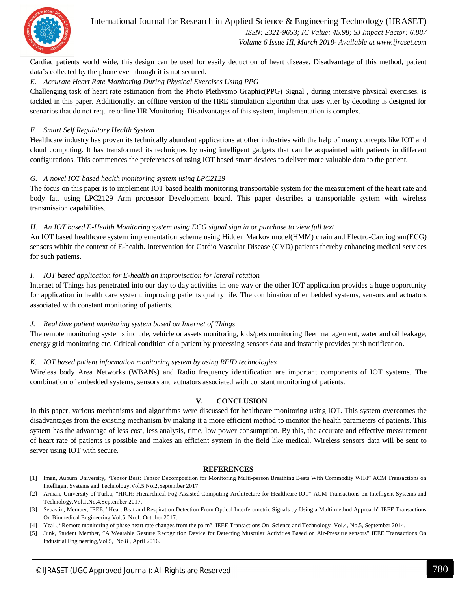

#### International Journal for Research in Applied Science & Engineering Technology (IJRASET**)**  *ISSN: 2321-9653; IC Value: 45.98; SJ Impact Factor: 6.887*

*Volume 6 Issue III, March 2018- Available at www.ijraset.com*

Cardiac patients world wide, this design can be used for easily deduction of heart disease. Disadvantage of this method, patient data's collected by the phone even though it is not secured.

#### *E. Accurate Heart Rate Monitoring During Physical Exercises Using PPG*

Challenging task of heart rate estimation from the Photo Plethysmo Graphic(PPG) Signal , during intensive physical exercises, is tackled in this paper. Additionally, an offline version of the HRE stimulation algorithm that uses viter by decoding is designed for scenarios that do not require online HR Monitoring. Disadvantages of this system, implementation is complex.

#### *F. Smart Self Regulatory Health System*

Healthcare industry has proven its technically abundant applications at other industries with the help of many concepts like IOT and cloud computing. It has transformed its techniques by using intelligent gadgets that can be acquainted with patients in different configurations. This commences the preferences of using IOT based smart devices to deliver more valuable data to the patient.

#### *G. A novel IOT based health monitoring system using LPC2129*

The focus on this paper is to implement IOT based health monitoring transportable system for the measurement of the heart rate and body fat, using LPC2129 Arm processor Development board. This paper describes a transportable system with wireless transmission capabilities.

#### *H. An IOT based E-Health Monitoring system using ECG signal sign in or purchase to view full text*

An IOT based healthcare system implementation scheme using Hidden Markov model(HMM) chain and Electro-Cardiogram(ECG) sensors within the context of E-health. Intervention for Cardio Vascular Disease (CVD) patients thereby enhancing medical services for such patients.

#### *I. IOT based application for E-health an improvisation for lateral rotation*

Internet of Things has penetrated into our day to day activities in one way or the other IOT application provides a huge opportunity for application in health care system, improving patients quality life. The combination of embedded systems, sensors and actuators associated with constant monitoring of patients.

#### *J. Real time patient monitoring system based on Internet of Things*

The remote monitoring systems include, vehicle or assets monitoring, kids/pets monitoring fleet management, water and oil leakage, energy grid monitoring etc. Critical condition of a patient by processing sensors data and instantly provides push notification.

#### *K. IOT based patient information monitoring system by using RFID technologies*

Wireless body Area Networks (WBANs) and Radio frequency identification are important components of IOT systems. The combination of embedded systems, sensors and actuators associated with constant monitoring of patients.

#### **V. CONCLUSION**

In this paper, various mechanisms and algorithms were discussed for healthcare monitoring using IOT. This system overcomes the disadvantages from the existing mechanism by making it a more efficient method to monitor the health parameters of patients. This system has the advantage of less cost, less analysis, time, low power consumption. By this, the accurate and effective measurement of heart rate of patients is possible and makes an efficient system in the field like medical. Wireless sensors data will be sent to server using IOT with secure.

#### **REFERENCES**

- [1] Iman, Auburn University, "Tensor Beat: Tensor Decomposition for Monitoring Multi-person Breathing Beats With Commodity WIFI" ACM Transactions on Intelligent Systems and Technology,Vol.5,No.2,September 2017.
- [2] Arman, University of Turku, "HICH: Hierarchical Fog-Assisted Computing Architecture for Healthcare IOT" ACM Transactions on Intelligent Systems and Technology,Vol.1,No.4,September 2017.
- [3] Sebastin, Member, IEEE, "Heart Beat and Respiration Detection From Optical Interferometric Signals by Using a Multi method Approach" IEEE Transactions On Biomedical Engineering,Vol.5, No.1, October 2017.
- [4] Yeal , "Remote monitoring of phase heart rate changes from the palm" IEEE Transactions On Science and Technology ,Vol.4, No.5, September 2014.
- [5] Junk, Student Member, "A Wearable Gesture Recognition Device for Detecting Muscular Activities Based on Air-Pressure sensors" IEEE Transactions On Industrial Engineering,Vol.5, No.8 , April 2016.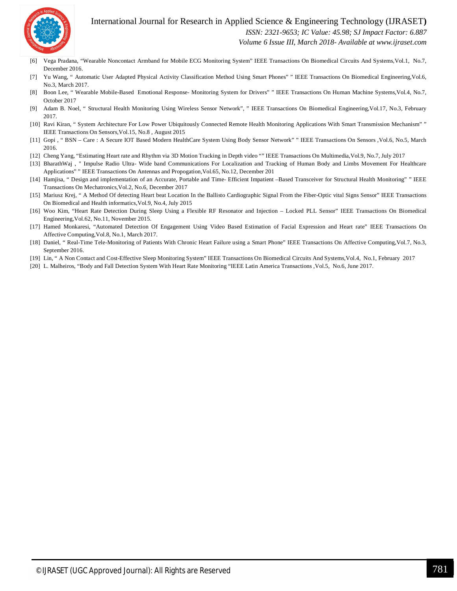

#### International Journal for Research in Applied Science & Engineering Technology (IJRASET**)**

 *ISSN: 2321-9653; IC Value: 45.98; SJ Impact Factor: 6.887*

*Volume 6 Issue III, March 2018- Available at www.ijraset.com*

- [6] Vega Pradana, "Wearable Noncontact Armband for Mobile ECG Monitoring System" IEEE Transactions On Biomedical Circuits And Systems,Vol.1, No.7, December 2016.
- [7] Yu Wang, " Automatic User Adapted Physical Activity Classification Method Using Smart Phones" " IEEE Transactions On Biomedical Engineering,Vol.6, No.3, March 2017.
- [8] Boon Lee, " Wearable Mobile-Based Emotional Response- Monitoring System for Drivers" " IEEE Transactions On Human Machine Systems,Vol.4, No.7, October 2017
- [9] Adam B. Noel, " Structural Health Monitoring Using Wireless Sensor Network", " IEEE Transactions On Biomedical Engineering,Vol.17, No.3, February 2017.
- [10] Ravi Kiran, " System Architecture For Low Power Ubiquitously Connected Remote Health Monitoring Applications With Smart Transmission Mechanism" " IEEE Transactions On Sensors,Vol.15, No.8 , August 2015
- [11] Gopi , " BSN Care : A Secure IOT Based Modern HealthCare System Using Body Sensor Network" " IEEE Transactions On Sensors ,Vol.6, No.5, March 2016.
- [12] Cheng Yang, "Estimating Heart rate and Rhythm via 3D Motion Tracking in Depth video "" IEEE Transactions On Multimedia,Vol.9, No.7, July 2017
- [13] BharathWaj , " Impulse Radio Ultra- Wide band Communications For Localization and Tracking of Human Body and Limbs Movement For Healthcare Applications" " IEEE Transactions On Antennas and Propogation,Vol.65, No.12, December 201
- [14] Hamjisa, " Design and implementation of an Accurate, Portable and Time- Efficient Impatient –Based Transceiver for Structural Health Monitoring" " IEEE Transactions On Mechatronics,Vol.2, No.6, December 2017
- [15] Mariusz Krej, " A Method Of detecting Heart beat Location In the Ballisto Cardiographic Signal From the Fiber-Optic vital Signs Sensor" IEEE Transactions On Biomedical and Health informatics,Vol.9, No.4, July 2015
- [16] Woo Kim, "Heart Rate Detection During Sleep Using a Flexible RF Resonator and Injection Locked PLL Sensor" IEEE Transactions On Biomedical Engineering,Vol.62, No.11, November 2015.
- [17] Hamed Monkaresi, "Automated Detection Of Engagement Using Video Based Estimation of Facial Expression and Heart rate" IEEE Transactions On Affective Computing,Vol.8, No.1, March 2017.
- [18] Daniel, " Real-Time Tele-Monitoring of Patients With Chronic Heart Failure using a Smart Phone" IEEE Transactions On Affective Computing,Vol.7, No.3, September 2016.
- [19] Lin, " A Non Contact and Cost-Effective Sleep Monitoring System" IEEE Transactions On Biomedical Circuits And Systems,Vol.4, No.1, February 2017
- [20] L. Malheiros, "Body and Fall Detection System With Heart Rate Monitoring "IEEE Latin America Transactions ,Vol.5, No.6, June 2017.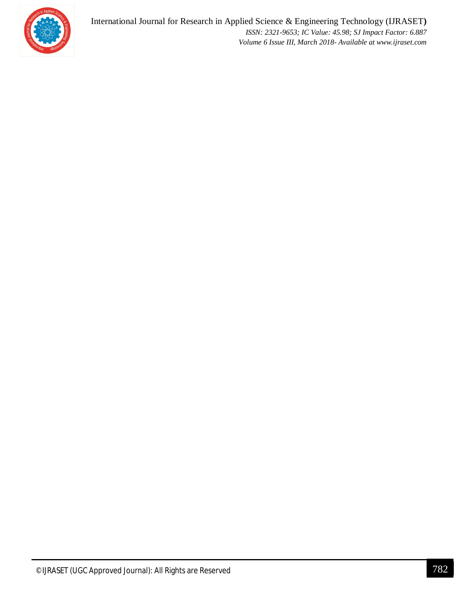